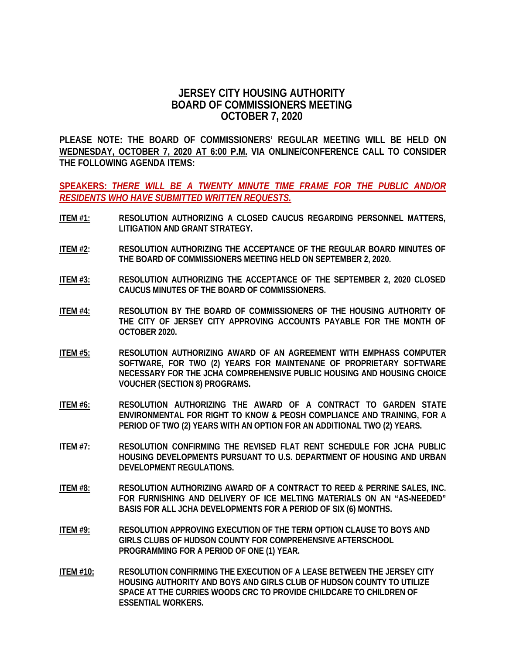## **JERSEY CITY HOUSING AUTHORITY BOARD OF COMMISSIONERS MEETING OCTOBER 7, 2020**

**PLEASE NOTE: THE BOARD OF COMMISSIONERS' REGULAR MEETING WILL BE HELD ON WEDNESDAY, OCTOBER 7, 2020 AT 6:00 P.M. VIA ONLINE/CONFERENCE CALL TO CONSIDER THE FOLLOWING AGENDA ITEMS:**

**SPEAKERS:** *THERE WILL BE A TWENTY MINUTE TIME FRAME FOR THE PUBLIC AND/OR RESIDENTS WHO HAVE SUBMITTED WRITTEN REQUESTS.*

- **ITEM #1: RESOLUTION AUTHORIZING A CLOSED CAUCUS REGARDING PERSONNEL MATTERS, LITIGATION AND GRANT STRATEGY.**
- **ITEM #2: RESOLUTION AUTHORIZING THE ACCEPTANCE OF THE REGULAR BOARD MINUTES OF THE BOARD OF COMMISSIONERS MEETING HELD ON SEPTEMBER 2, 2020.**
- **ITEM #3: RESOLUTION AUTHORIZING THE ACCEPTANCE OF THE SEPTEMBER 2, 2020 CLOSED CAUCUS MINUTES OF THE BOARD OF COMMISSIONERS.**
- **ITEM #4: RESOLUTION BY THE BOARD OF COMMISSIONERS OF THE HOUSING AUTHORITY OF THE CITY OF JERSEY CITY APPROVING ACCOUNTS PAYABLE FOR THE MONTH OF OCTOBER 2020.**
- **ITEM #5: RESOLUTION AUTHORIZING AWARD OF AN AGREEMENT WITH EMPHASS COMPUTER SOFTWARE, FOR TWO (2) YEARS FOR MAINTENANE OF PROPRIETARY SOFTWARE NECESSARY FOR THE JCHA COMPREHENSIVE PUBLIC HOUSING AND HOUSING CHOICE VOUCHER (SECTION 8) PROGRAMS.**
- **ITEM #6: RESOLUTION AUTHORIZING THE AWARD OF A CONTRACT TO GARDEN STATE ENVIRONMENTAL FOR RIGHT TO KNOW & PEOSH COMPLIANCE AND TRAINING, FOR A PERIOD OF TWO (2) YEARS WITH AN OPTION FOR AN ADDITIONAL TWO (2) YEARS.**
- **ITEM #7: RESOLUTION CONFIRMING THE REVISED FLAT RENT SCHEDULE FOR JCHA PUBLIC HOUSING DEVELOPMENTS PURSUANT TO U.S. DEPARTMENT OF HOUSING AND URBAN DEVELOPMENT REGULATIONS.**
- **ITEM #8: RESOLUTION AUTHORIZING AWARD OF A CONTRACT TO REED & PERRINE SALES, INC. FOR FURNISHING AND DELIVERY OF ICE MELTING MATERIALS ON AN "AS-NEEDED" BASIS FOR ALL JCHA DEVELOPMENTS FOR A PERIOD OF SIX (6) MONTHS.**
- **ITEM #9: RESOLUTION APPROVING EXECUTION OF THE TERM OPTION CLAUSE TO BOYS AND GIRLS CLUBS OF HUDSON COUNTY FOR COMPREHENSIVE AFTERSCHOOL PROGRAMMING FOR A PERIOD OF ONE (1) YEAR.**
- **ITEM #10: RESOLUTION CONFIRMING THE EXECUTION OF A LEASE BETWEEN THE JERSEY CITY HOUSING AUTHORITY AND BOYS AND GIRLS CLUB OF HUDSON COUNTY TO UTILIZE SPACE AT THE CURRIES WOODS CRC TO PROVIDE CHILDCARE TO CHILDREN OF ESSENTIAL WORKERS.**